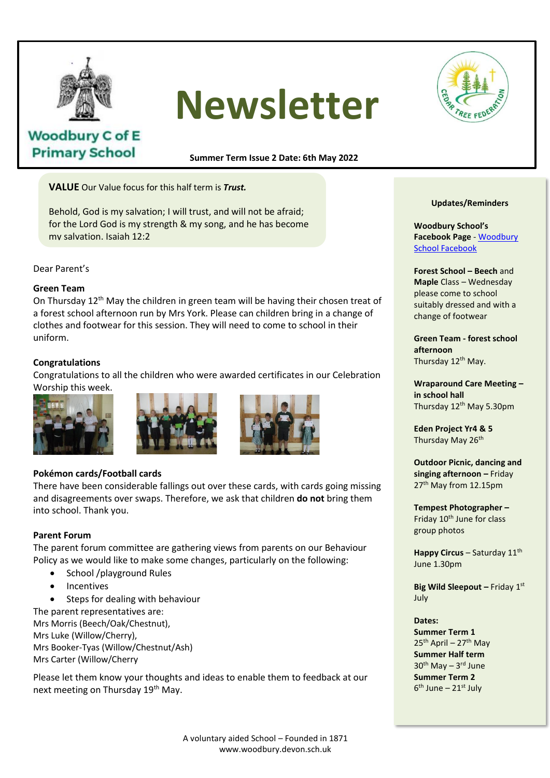

**Woodbury C of E Primary School** 

# **Newsletter**



# **Summer Term Issue 2 Date: 6th May 2022**

**VALUE** Our Value focus for this half term is *Trust.*

Behold, God is my salvation; I will trust, and will not be afraid; for the Lord God is my strength & my song, and he has become my salvation. Isaiah 12:2

Dear Parent's

# **Green Team**

On Thursday  $12<sup>th</sup>$  May the children in green team will be having their chosen treat of a forest school afternoon run by Mrs York. Please can children bring in a change of clothes and footwear for this session. They will need to come to school in their uniform.  $\mathcal{L}$  is patient, lower is the isomorphism of  $\mathcal{L}$  always is kind. It always is kind. It always is a set of  $\mathcal{L}$ 

# **Congratulations**

**Congratulations**<br>Congratulations to all the children who were awarded certificates in our Celebration Worship this week.<br>always persevere fails. Love newer fails. Love never fails.



# 1 Corinthians 13:4 7-8



# **Pokémon cards/Football cards**

There have been considerable fallings out over these cards, with cards going missing and disagreements over swaps. Therefore, we ask that children **do not** bring them into school. Thank you.

#### **Parent Forum**

The parent forum committee are gathering views from parents on our Behaviour Policy as we would like to make some changes, particularly on the following:

- School /playground Rules
- **Incentives**
- Steps for dealing with behaviour

The parent representatives are: Mrs Morris (Beech/Oak/Chestnut), Mrs Luke (Willow/Cherry), Mrs Booker-Tyas (Willow/Chestnut/Ash) Mrs Carter (Willow/Cherry

Please let them know your thoughts and ideas to enable them to feedback at our next meeting on Thursday 19<sup>th</sup> May.

#### **Updates/Reminders**

**Woodbury School's Facebook Page** - [Woodbury](https://www.facebook.com/people/Woodbury-C-of-E-Primary-School/100063490359733/)  [School Facebook](https://www.facebook.com/people/Woodbury-C-of-E-Primary-School/100063490359733/)

**Forest School – Beech** and **Maple** Class – Wednesday please come to school suitably dressed and with a change of footwear

**Green Team - forest school afternoon** Thursday 12<sup>th</sup> May.

**Wraparound Care Meeting – in school hall**  Thursday 12<sup>th</sup> May 5.30pm

**Eden Project Yr4 & 5** Thursday May 26<sup>th</sup>

**Outdoor Picnic, dancing and singing afternoon –** Friday 27<sup>th</sup> May from 12.15pm

**Tempest Photographer –** Friday 10<sup>th</sup> June for class group photos

**Happy Circus - Saturday 11th** June 1.30pm

**Big Wild Sleepout - Friday 1st** July

# **Dates:**

**Summer Term 1**  $25<sup>th</sup>$  April – 27<sup>th</sup> May **Summer Half term** 30<sup>th</sup> May - 3<sup>rd</sup> June **Summer Term 2** 6<sup>th</sup> June – 21st July